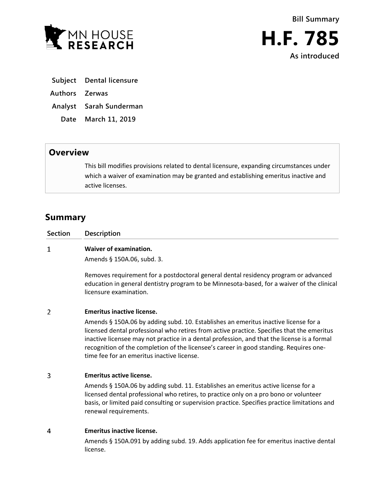

- **Subject Dental licensure**
- **Authors Zerwas**
- **Analyst Sarah Sunderman**
- **Date March 11, 2019**

## **Overview**

This bill modifies provisions related to dental licensure, expanding circumstances under which a waiver of examination may be granted and establishing emeritus inactive and active licenses.

# **Summary**

 $\mathbf{1}$ 

**Section Description**

### **Waiver of examination.**

Amends § 150A.06, subd. 3.

Removes requirement for a postdoctoral general dental residency program or advanced education in general dentistry program to be Minnesota-based, for a waiver of the clinical licensure examination.

#### $\overline{2}$ **Emeritus inactive license.**

Amends § 150A.06 by adding subd. 10. Establishes an emeritus inactive license for a licensed dental professional who retires from active practice. Specifies that the emeritus inactive licensee may not practice in a dental profession, and that the license is a formal recognition of the completion of the licensee's career in good standing. Requires onetime fee for an emeritus inactive license.

#### $\mathbf{3}$ **Emeritus active license.**

Amends § 150A.06 by adding subd. 11. Establishes an emeritus active license for a licensed dental professional who retires, to practice only on a pro bono or volunteer basis, or limited paid consulting or supervision practice. Specifies practice limitations and renewal requirements.

#### $\overline{4}$ **Emeritus inactive license.**

Amends § 150A.091 by adding subd. 19. Adds application fee for emeritus inactive dental license.